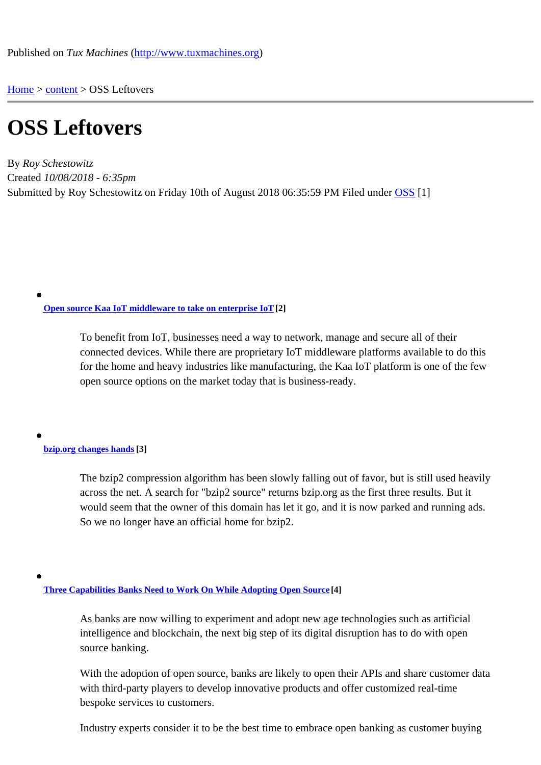Home > content > OSS Left[overs](http://www.tuxmachines.org)

## [OS](http://www.tuxmachines.org/)[S Le](http://www.tuxmachines.org/node)ftovers

By Roy Schestowitz Created 10/08/2018 - 6:35pm Submitted by Roy Schestowitz on Friday 10th of August 2018 06:35:59 PileMunder OSS[1]

Open source Kaa IoT middleware to take on enterprise Io<sup>[2]</sup>

To benefit from IoT, businesses need a way to network, manage and secure all of their [connected devices. While there are prop](https://internetofthingsagenda.techtarget.com/feature/Open-source-Kaa-IoT-middleware-to-take-on-enterprise-IoT)rietary IoT middleware platforms available to do this for the home and heavy industries like manufacturing, the Kaa IoT platform is one of the few open source options on the market today that is business-ready.

bzip.org changes hand<sup>[3]</sup>

The bzip2 compression algorithm has been slowly falling out of favor, but is still used heavily [across the n](https://lwn.net/Articles/762264/rss)et. A search for "bzip2 source" returns bzip.org as the first three results. But it would seem that the owner of this domain has let it go, and it is now parked and running ads. So we no longer have an official home for bzip2.

Three Capabilities Banks Need to Work On While Adopting Open Source

As banks are now willing to experiment and adopt new age technologies such as artificial [intelligence and blockchain, the next big step of its d](https://www.entrepreneur.com/article/318213)igital disruption has to do with open source banking.

With the adoption of open source, banks are likely to open their APIs and share customer data with third-party players to develop innovative products and offer customized real-time bespoke services to customers.

Industry experts consider it to be the best time to embrace open banking as customer buying